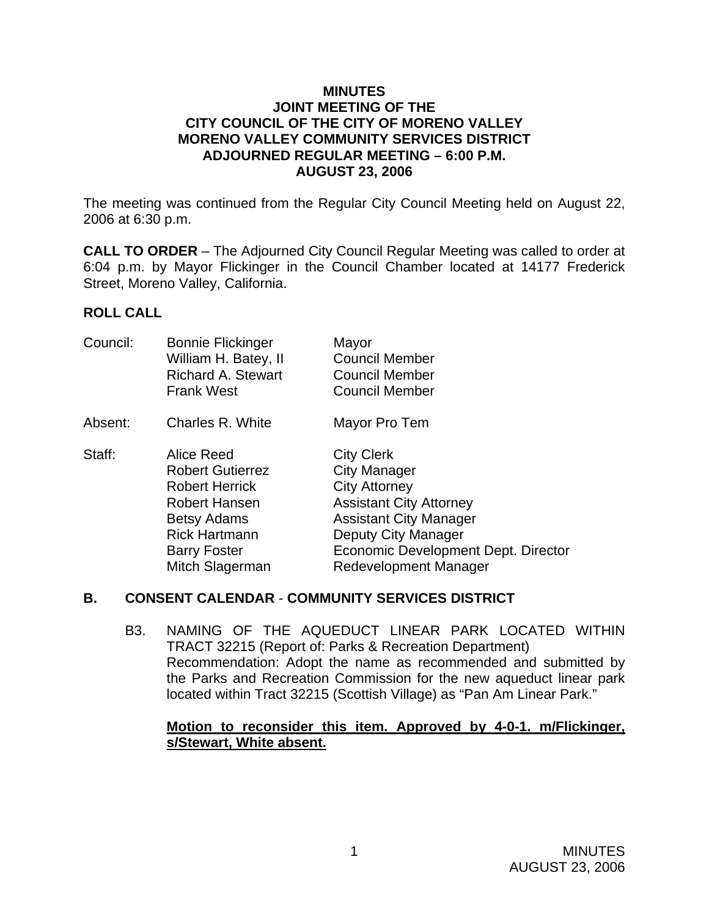#### **MINUTES JOINT MEETING OF THE CITY COUNCIL OF THE CITY OF MORENO VALLEY MORENO VALLEY COMMUNITY SERVICES DISTRICT ADJOURNED REGULAR MEETING – 6:00 P.M. AUGUST 23, 2006**

The meeting was continued from the Regular City Council Meeting held on August 22, 2006 at 6:30 p.m.

**CALL TO ORDER** – The Adjourned City Council Regular Meeting was called to order at 6:04 p.m. by Mayor Flickinger in the Council Chamber located at 14177 Frederick Street, Moreno Valley, California.

#### **ROLL CALL**

| Council: | <b>Bonnie Flickinger</b>  | Mayor                               |
|----------|---------------------------|-------------------------------------|
|          | William H. Batey, II      | <b>Council Member</b>               |
|          | <b>Richard A. Stewart</b> | <b>Council Member</b>               |
|          | <b>Frank West</b>         | <b>Council Member</b>               |
| Absent:  | Charles R. White          | Mayor Pro Tem                       |
| Staff:   | Alice Reed                | <b>City Clerk</b>                   |
|          | <b>Robert Gutierrez</b>   | City Manager                        |
|          | Robert Herrick            | <b>City Attorney</b>                |
|          | <b>Robert Hansen</b>      | <b>Assistant City Attorney</b>      |
|          | <b>Betsy Adams</b>        | <b>Assistant City Manager</b>       |
|          | <b>Rick Hartmann</b>      | Deputy City Manager                 |
|          | <b>Barry Foster</b>       | Economic Development Dept. Director |
|          | Mitch Slagerman           | Redevelopment Manager               |

### **B. CONSENT CALENDAR** - **COMMUNITY SERVICES DISTRICT**

B3. NAMING OF THE AQUEDUCT LINEAR PARK LOCATED WITHIN TRACT 32215 (Report of: Parks & Recreation Department) Recommendation: Adopt the name as recommended and submitted by the Parks and Recreation Commission for the new aqueduct linear park located within Tract 32215 (Scottish Village) as "Pan Am Linear Park."

#### **Motion to reconsider this item. Approved by 4-0-1. m/Flickinger, s/Stewart, White absent.**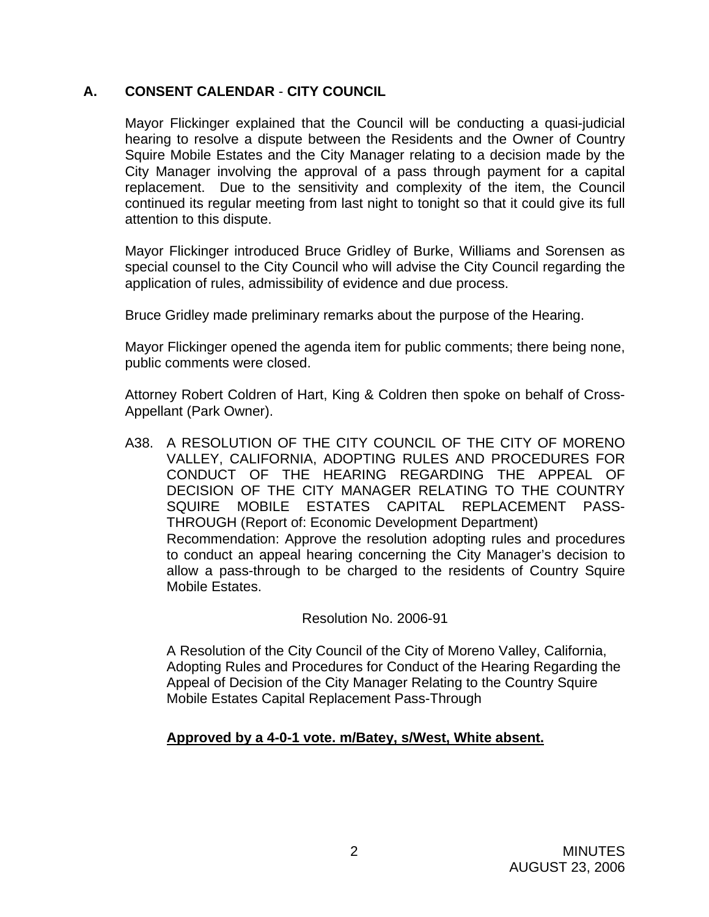# **A. CONSENT CALENDAR** - **CITY COUNCIL**

Mayor Flickinger explained that the Council will be conducting a quasi-judicial hearing to resolve a dispute between the Residents and the Owner of Country Squire Mobile Estates and the City Manager relating to a decision made by the City Manager involving the approval of a pass through payment for a capital replacement. Due to the sensitivity and complexity of the item, the Council continued its regular meeting from last night to tonight so that it could give its full attention to this dispute.

Mayor Flickinger introduced Bruce Gridley of Burke, Williams and Sorensen as special counsel to the City Council who will advise the City Council regarding the application of rules, admissibility of evidence and due process.

Bruce Gridley made preliminary remarks about the purpose of the Hearing.

Mayor Flickinger opened the agenda item for public comments; there being none, public comments were closed.

Attorney Robert Coldren of Hart, King & Coldren then spoke on behalf of Cross-Appellant (Park Owner).

A38. A RESOLUTION OF THE CITY COUNCIL OF THE CITY OF MORENO VALLEY, CALIFORNIA, ADOPTING RULES AND PROCEDURES FOR CONDUCT OF THE HEARING REGARDING THE APPEAL OF DECISION OF THE CITY MANAGER RELATING TO THE COUNTRY SQUIRE MOBILE ESTATES CAPITAL REPLACEMENT PASS-THROUGH (Report of: Economic Development Department) Recommendation: Approve the resolution adopting rules and procedures to conduct an appeal hearing concerning the City Manager's decision to allow a pass-through to be charged to the residents of Country Squire Mobile Estates.

Resolution No. 2006-91

A Resolution of the City Council of the City of Moreno Valley, California, Adopting Rules and Procedures for Conduct of the Hearing Regarding the Appeal of Decision of the City Manager Relating to the Country Squire Mobile Estates Capital Replacement Pass-Through

### **Approved by a 4-0-1 vote. m/Batey, s/West, White absent.**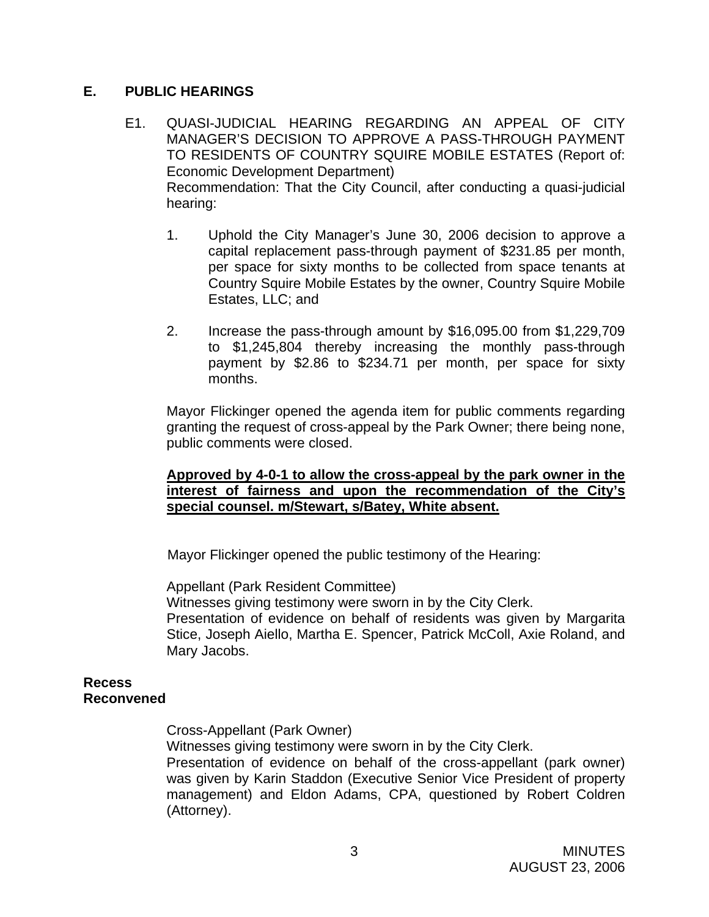### **E. PUBLIC HEARINGS**

- E1. QUASI-JUDICIAL HEARING REGARDING AN APPEAL OF CITY MANAGER'S DECISION TO APPROVE A PASS-THROUGH PAYMENT TO RESIDENTS OF COUNTRY SQUIRE MOBILE ESTATES (Report of: Economic Development Department) Recommendation: That the City Council, after conducting a quasi-judicial hearing:
	- 1. Uphold the City Manager's June 30, 2006 decision to approve a capital replacement pass-through payment of \$231.85 per month, per space for sixty months to be collected from space tenants at Country Squire Mobile Estates by the owner, Country Squire Mobile Estates, LLC; and
	- 2. Increase the pass-through amount by \$16,095.00 from \$1,229,709 to \$1,245,804 thereby increasing the monthly pass-through payment by \$2.86 to \$234.71 per month, per space for sixty months.

Mayor Flickinger opened the agenda item for public comments regarding granting the request of cross-appeal by the Park Owner; there being none, public comments were closed.

### **Approved by 4-0-1 to allow the cross-appeal by the park owner in the interest of fairness and upon the recommendation of the City's special counsel. m/Stewart, s/Batey, White absent.**

Mayor Flickinger opened the public testimony of the Hearing:

Appellant (Park Resident Committee)

Witnesses giving testimony were sworn in by the City Clerk.

Presentation of evidence on behalf of residents was given by Margarita Stice, Joseph Aiello, Martha E. Spencer, Patrick McColl, Axie Roland, and Mary Jacobs.

### **Recess Reconvened**

Cross-Appellant (Park Owner)

Witnesses giving testimony were sworn in by the City Clerk.

Presentation of evidence on behalf of the cross-appellant (park owner) was given by Karin Staddon (Executive Senior Vice President of property management) and Eldon Adams, CPA, questioned by Robert Coldren (Attorney).